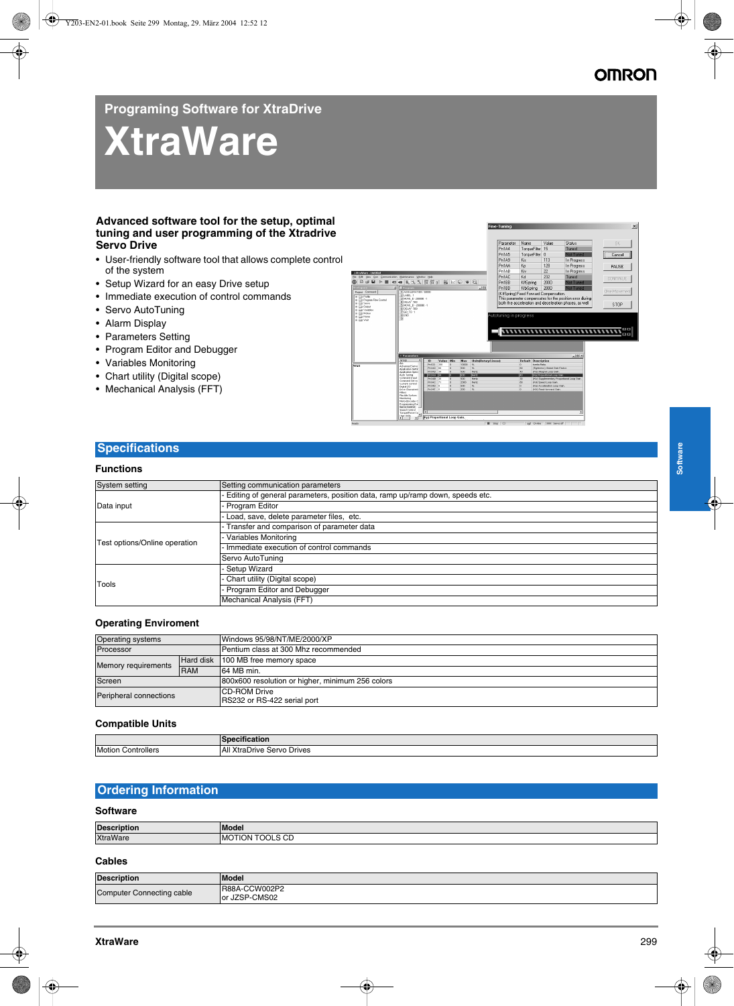## **Programing Software for XtraDrive**

# **XtraWare**

#### **Advanced software tool for the setup, optimal tuning and user programming of the Xtradrive Servo Drive**

- User-friendly software tool that allows complete control of the system
- Setup Wizard for an easy Drive setup
- Immediate execution of control commands
- Servo AutoTuning
- Alarm Display
- Parameters Setting
- Program Editor and Debugger
- Variables Monitoring
- Chart utility (Digital scope)
- Mechanical Analysis (FFT)



## **Specifications**

#### **Functions**

| System setting                | Setting communication parameters                                             |
|-------------------------------|------------------------------------------------------------------------------|
| Data input                    | Editing of general parameters, position data, ramp up/ramp down, speeds etc. |
|                               | Program Editor                                                               |
|                               | Load, save, delete parameter files, etc.                                     |
| Test options/Online operation | Transfer and comparison of parameter data                                    |
|                               | Variables Monitoring                                                         |
|                               | Immediate execution of control commands                                      |
|                               | Servo AutoTuning                                                             |
| Tools                         | <b>Setup Wizard</b>                                                          |
|                               | Chart utility (Digital scope)                                                |
|                               | - Program Editor and Debugger                                                |
|                               | Mechanical Analysis (FFT)                                                    |

#### **Operating Enviroment**

| <b>Operating systems</b> |                  | Windows 95/98/NT/ME/2000/XP                         |
|--------------------------|------------------|-----------------------------------------------------|
| Processor                |                  | Pentium class at 300 Mhz recommended                |
| Memory requirements      | <b>Hard disk</b> | 100 MB free memory space                            |
|                          | <b>RAM</b>       | 164 MB min.                                         |
| Screen                   |                  | 800x600 resolution or higher, minimum 256 colors    |
| Peripheral connections   |                  | <b>ICD-ROM Drive</b><br>RS232 or RS-422 serial port |

#### **Compatible Units**

|                           | $-$<br>---<br><b>ISpecification</b> |
|---------------------------|-------------------------------------|
| <b>Motion Controllers</b> | All XtraDrive Servo Drives          |

### **Ordering Information**

#### **Software**

| <b>Description</b> | Model                             |
|--------------------|-----------------------------------|
| <b>XtraWare</b>    | $\sim$ $\sim$<br>''MC<br>NG.<br>◡ |
|                    |                                   |

#### **Cables**

| <b>Description</b>               | <b>Model</b>              |
|----------------------------------|---------------------------|
| <b>Computer Connecting cable</b> | R88A-CCW002P2             |
|                                  | r JZSP-CMS02<br><b>or</b> |